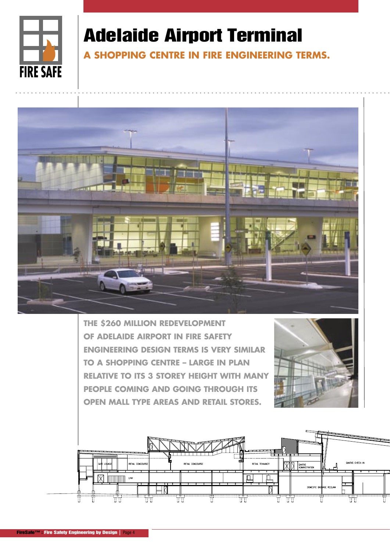

## Adelaide Airport Terminal

**A SHOPPING CENTRE IN FIRE ENGINEERING TERMS.**



**THE \$260 MILLION REDEVELOPMENT OF ADELAIDE AIRPORT IN FIRE SAFETY ENGINEERING DESIGN TERMS IS VERY SIMILAR TO A SHOPPING CENTRE – LARGE IN PLAN RELATIVE TO ITS 3 STOREY HEIGHT WITH MANY PEOPLE COMING AND GOING THROUGH ITS OPEN MALL TYPE AREAS AND RETAIL STORES.**